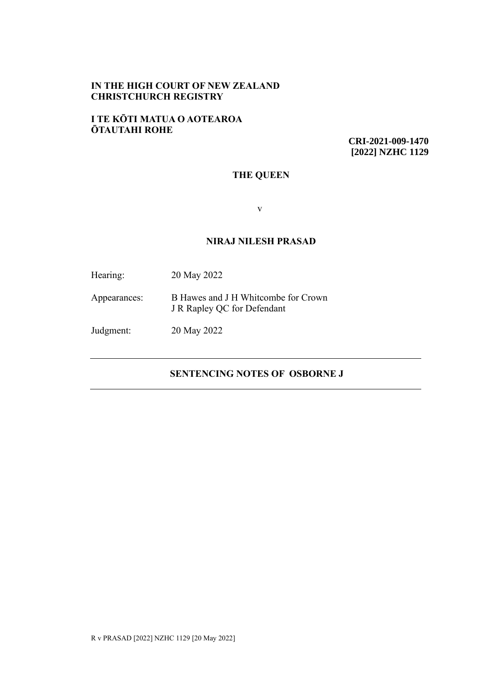## **IN THE HIGH COURT OF NEW ZEALAND CHRISTCHURCH REGISTRY**

### **I TE KŌTI MATUA O AOTEAROA ŌTAUTAHI ROHE**

**CRI-2021-009-1470 [2022] NZHC 1129**

# **THE QUEEN**

v

## **NIRAJ NILESH PRASAD**

| Hearing:     | 20 May 2022                                                        |
|--------------|--------------------------------------------------------------------|
| Appearances: | B Hawes and J H Whitcombe for Crown<br>J R Rapley QC for Defendant |
| Judgment:    | 20 May 2022                                                        |

# **SENTENCING NOTES OF OSBORNE J**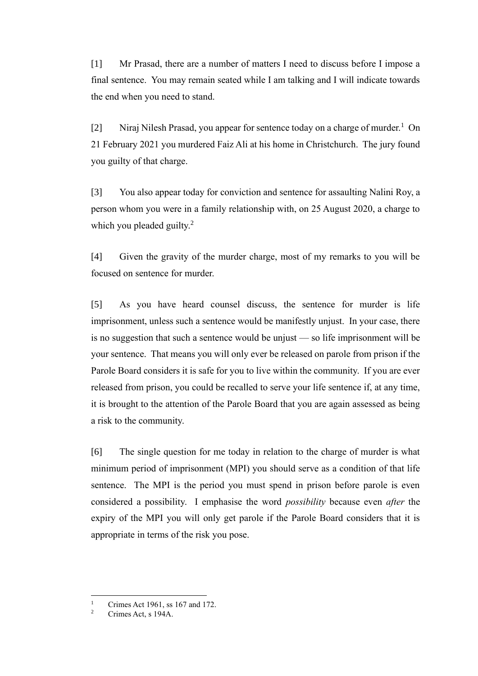[1] Mr Prasad, there are a number of matters I need to discuss before I impose a final sentence. You may remain seated while I am talking and I will indicate towards the end when you need to stand.

[2] Niraj Nilesh Prasad, you appear for sentence today on a charge of murder.<sup>1</sup> On 21 February 2021 you murdered Faiz Ali at his home in Christchurch. The jury found you guilty of that charge.

[3] You also appear today for conviction and sentence for assaulting Nalini Roy, a person whom you were in a family relationship with, on 25 August 2020, a charge to which you pleaded guilty.<sup>2</sup>

[4] Given the gravity of the murder charge, most of my remarks to you will be focused on sentence for murder.

[5] As you have heard counsel discuss, the sentence for murder is life imprisonment, unless such a sentence would be manifestly unjust. In your case, there is no suggestion that such a sentence would be unjust — so life imprisonment will be your sentence. That means you will only ever be released on parole from prison if the Parole Board considers it is safe for you to live within the community. If you are ever released from prison, you could be recalled to serve your life sentence if, at any time, it is brought to the attention of the Parole Board that you are again assessed as being a risk to the community.

[6] The single question for me today in relation to the charge of murder is what minimum period of imprisonment (MPI) you should serve as a condition of that life sentence. The MPI is the period you must spend in prison before parole is even considered a possibility. I emphasise the word *possibility* because even *after* the expiry of the MPI you will only get parole if the Parole Board considers that it is appropriate in terms of the risk you pose.

<sup>&</sup>lt;sup>1</sup> Crimes Act 1961, ss 167 and 172.

Crimes Act, s 194A.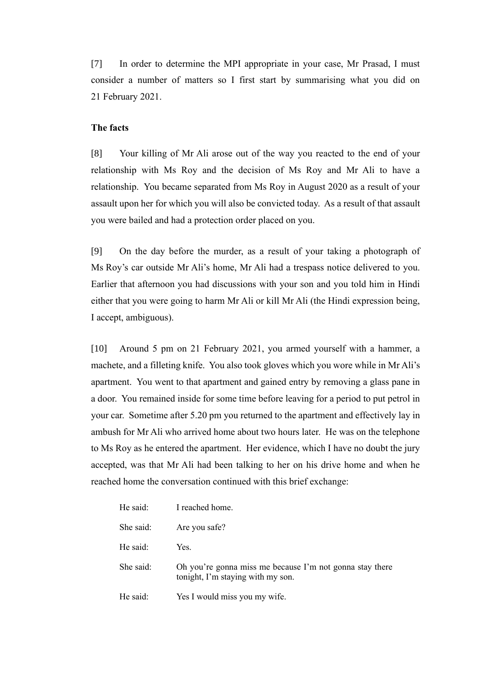[7] In order to determine the MPI appropriate in your case, Mr Prasad, I must consider a number of matters so I first start by summarising what you did on 21 February 2021.

### **The facts**

[8] Your killing of Mr Ali arose out of the way you reacted to the end of your relationship with Ms Roy and the decision of Ms Roy and Mr Ali to have a relationship. You became separated from Ms Roy in August 2020 as a result of your assault upon her for which you will also be convicted today. As a result of that assault you were bailed and had a protection order placed on you.

[9] On the day before the murder, as a result of your taking a photograph of Ms Roy's car outside Mr Ali's home, Mr Ali had a trespass notice delivered to you. Earlier that afternoon you had discussions with your son and you told him in Hindi either that you were going to harm Mr Ali or kill Mr Ali (the Hindi expression being, I accept, ambiguous).

[10] Around 5 pm on 21 February 2021, you armed yourself with a hammer, a machete, and a filleting knife. You also took gloves which you wore while in Mr Ali's apartment. You went to that apartment and gained entry by removing a glass pane in a door. You remained inside for some time before leaving for a period to put petrol in your car. Sometime after 5.20 pm you returned to the apartment and effectively lay in ambush for Mr Ali who arrived home about two hours later. He was on the telephone to Ms Roy as he entered the apartment. Her evidence, which I have no doubt the jury accepted, was that Mr Ali had been talking to her on his drive home and when he reached home the conversation continued with this brief exchange:

| He said:  | I reached home.                                                                               |
|-----------|-----------------------------------------------------------------------------------------------|
| She said: | Are you safe?                                                                                 |
| He said:  | Yes.                                                                                          |
| She said: | Oh you're gonna miss me because I'm not gonna stay there<br>tonight, I'm staying with my son. |
| He said:  | Yes I would miss you my wife.                                                                 |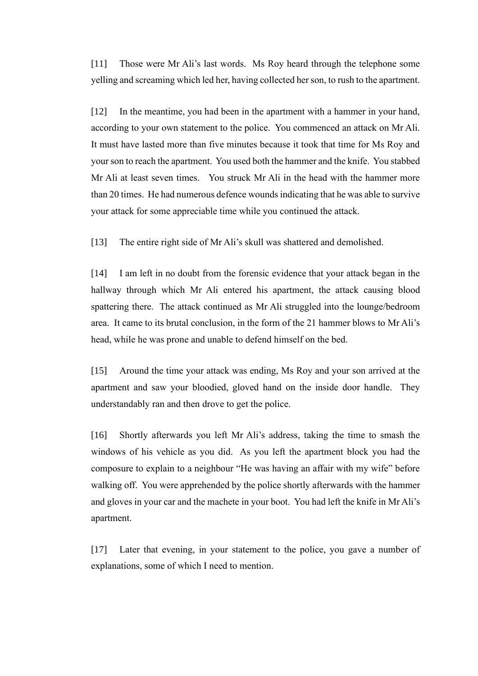[11] Those were Mr Ali's last words. Ms Roy heard through the telephone some yelling and screaming which led her, having collected her son, to rush to the apartment.

[12] In the meantime, you had been in the apartment with a hammer in your hand, according to your own statement to the police. You commenced an attack on Mr Ali. It must have lasted more than five minutes because it took that time for Ms Roy and your son to reach the apartment. You used both the hammer and the knife. You stabbed Mr Ali at least seven times. You struck Mr Ali in the head with the hammer more than 20 times. He had numerous defence wounds indicating that he was able to survive your attack for some appreciable time while you continued the attack.

[13] The entire right side of Mr Ali's skull was shattered and demolished.

[14] I am left in no doubt from the forensic evidence that your attack began in the hallway through which Mr Ali entered his apartment, the attack causing blood spattering there. The attack continued as Mr Ali struggled into the lounge/bedroom area. It came to its brutal conclusion, in the form of the 21 hammer blows to Mr Ali's head, while he was prone and unable to defend himself on the bed.

[15] Around the time your attack was ending, Ms Roy and your son arrived at the apartment and saw your bloodied, gloved hand on the inside door handle. They understandably ran and then drove to get the police.

[16] Shortly afterwards you left Mr Ali's address, taking the time to smash the windows of his vehicle as you did. As you left the apartment block you had the composure to explain to a neighbour "He was having an affair with my wife" before walking off. You were apprehended by the police shortly afterwards with the hammer and gloves in your car and the machete in your boot. You had left the knife in Mr Ali's apartment.

[17] Later that evening, in your statement to the police, you gave a number of explanations, some of which I need to mention.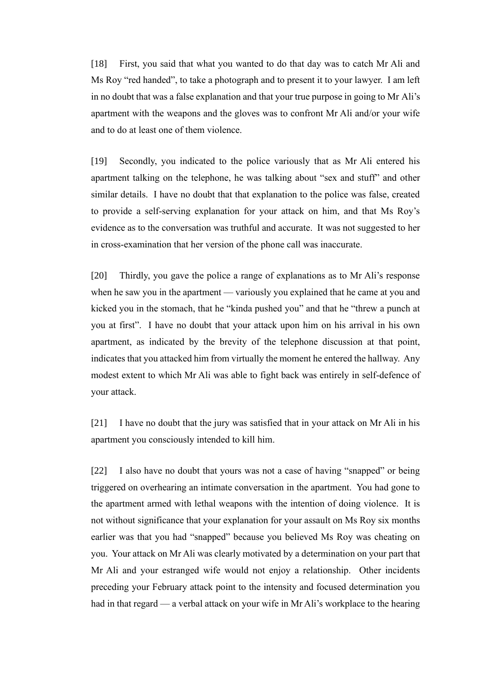[18] First, you said that what you wanted to do that day was to catch Mr Ali and Ms Roy "red handed", to take a photograph and to present it to your lawyer. I am left in no doubt that was a false explanation and that your true purpose in going to Mr Ali's apartment with the weapons and the gloves was to confront Mr Ali and/or your wife and to do at least one of them violence.

[19] Secondly, you indicated to the police variously that as Mr Ali entered his apartment talking on the telephone, he was talking about "sex and stuff" and other similar details. I have no doubt that that explanation to the police was false, created to provide a self-serving explanation for your attack on him, and that Ms Roy's evidence as to the conversation was truthful and accurate. It was not suggested to her in cross-examination that her version of the phone call was inaccurate.

[20] Thirdly, you gave the police a range of explanations as to Mr Ali's response when he saw you in the apartment — variously you explained that he came at you and kicked you in the stomach, that he "kinda pushed you" and that he "threw a punch at you at first". I have no doubt that your attack upon him on his arrival in his own apartment, as indicated by the brevity of the telephone discussion at that point, indicates that you attacked him from virtually the moment he entered the hallway. Any modest extent to which Mr Ali was able to fight back was entirely in self-defence of your attack.

[21] I have no doubt that the jury was satisfied that in your attack on Mr Ali in his apartment you consciously intended to kill him.

[22] I also have no doubt that yours was not a case of having "snapped" or being triggered on overhearing an intimate conversation in the apartment. You had gone to the apartment armed with lethal weapons with the intention of doing violence. It is not without significance that your explanation for your assault on Ms Roy six months earlier was that you had "snapped" because you believed Ms Roy was cheating on you. Your attack on Mr Ali was clearly motivated by a determination on your part that Mr Ali and your estranged wife would not enjoy a relationship. Other incidents preceding your February attack point to the intensity and focused determination you had in that regard — a verbal attack on your wife in Mr Ali's workplace to the hearing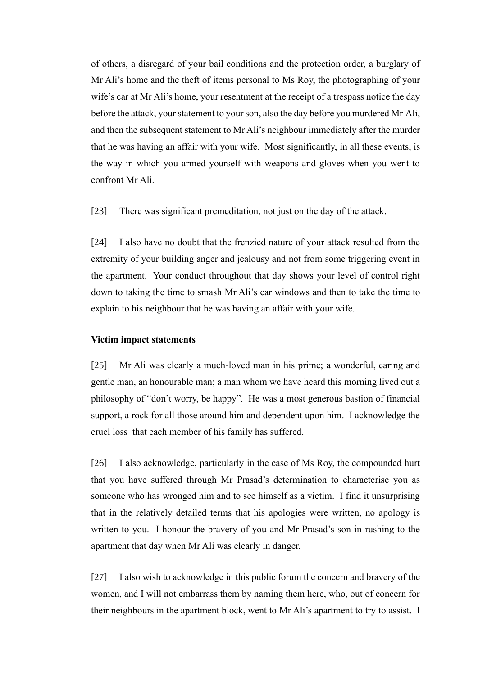of others, a disregard of your bail conditions and the protection order, a burglary of Mr Ali's home and the theft of items personal to Ms Roy, the photographing of your wife's car at Mr Ali's home, your resentment at the receipt of a trespass notice the day before the attack, your statement to your son, also the day before you murdered Mr Ali, and then the subsequent statement to Mr Ali's neighbour immediately after the murder that he was having an affair with your wife. Most significantly, in all these events, is the way in which you armed yourself with weapons and gloves when you went to confront Mr Ali.

[23] There was significant premeditation, not just on the day of the attack.

[24] I also have no doubt that the frenzied nature of your attack resulted from the extremity of your building anger and jealousy and not from some triggering event in the apartment. Your conduct throughout that day shows your level of control right down to taking the time to smash Mr Ali's car windows and then to take the time to explain to his neighbour that he was having an affair with your wife.

#### **Victim impact statements**

[25] Mr Ali was clearly a much-loved man in his prime; a wonderful, caring and gentle man, an honourable man; a man whom we have heard this morning lived out a philosophy of "don't worry, be happy". He was a most generous bastion of financial support, a rock for all those around him and dependent upon him. I acknowledge the cruel loss that each member of his family has suffered.

[26] I also acknowledge, particularly in the case of Ms Roy, the compounded hurt that you have suffered through Mr Prasad's determination to characterise you as someone who has wronged him and to see himself as a victim. I find it unsurprising that in the relatively detailed terms that his apologies were written, no apology is written to you. I honour the bravery of you and Mr Prasad's son in rushing to the apartment that day when Mr Ali was clearly in danger.

[27] I also wish to acknowledge in this public forum the concern and bravery of the women, and I will not embarrass them by naming them here, who, out of concern for their neighbours in the apartment block, went to Mr Ali's apartment to try to assist. I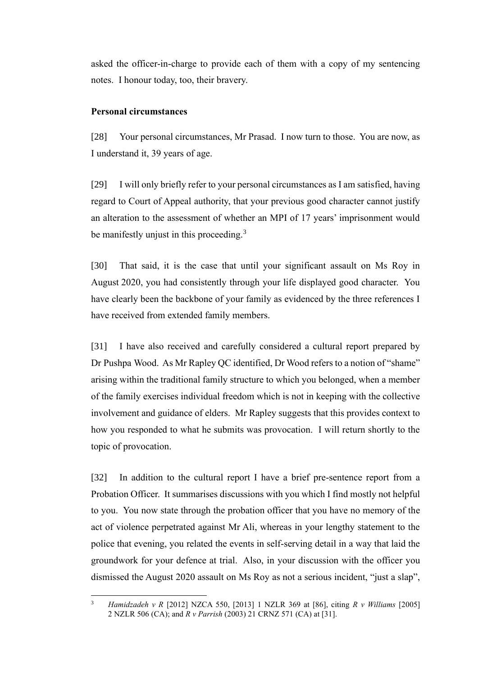asked the officer-in-charge to provide each of them with a copy of my sentencing notes. I honour today, too, their bravery.

## **Personal circumstances**

[28] Your personal circumstances, Mr Prasad. I now turn to those. You are now, as I understand it, 39 years of age.

[29] I will only briefly refer to your personal circumstances as I am satisfied, having regard to Court of Appeal authority, that your previous good character cannot justify an alteration to the assessment of whether an MPI of 17 years' imprisonment would be manifestly unjust in this proceeding.<sup>3</sup>

<span id="page-6-0"></span>[30] That said, it is the case that until your significant assault on Ms Roy in August 2020, you had consistently through your life displayed good character. You have clearly been the backbone of your family as evidenced by the three references I have received from extended family members.

[31] I have also received and carefully considered a cultural report prepared by Dr Pushpa Wood. As Mr Rapley QC identified, Dr Wood refers to a notion of "shame" arising within the traditional family structure to which you belonged, when a member of the family exercises individual freedom which is not in keeping with the collective involvement and guidance of elders. Mr Rapley suggests that this provides context to how you responded to what he submits was provocation. I will return shortly to the topic of provocation.

[32] In addition to the cultural report I have a brief pre-sentence report from a Probation Officer. It summarises discussions with you which I find mostly not helpful to you. You now state through the probation officer that you have no memory of the act of violence perpetrated against Mr Ali, whereas in your lengthy statement to the police that evening, you related the events in self-serving detail in a way that laid the groundwork for your defence at trial. Also, in your discussion with the officer you dismissed the August 2020 assault on Ms Roy as not a serious incident, "just a slap",

<sup>3</sup> *Hamidzadeh v R* [2012] NZCA 550, [2013] 1 NZLR 369 at [86], citing *R v Williams* [2005] 2 NZLR 506 (CA); and *R v Parrish* (2003) 21 CRNZ 571 (CA) at [31].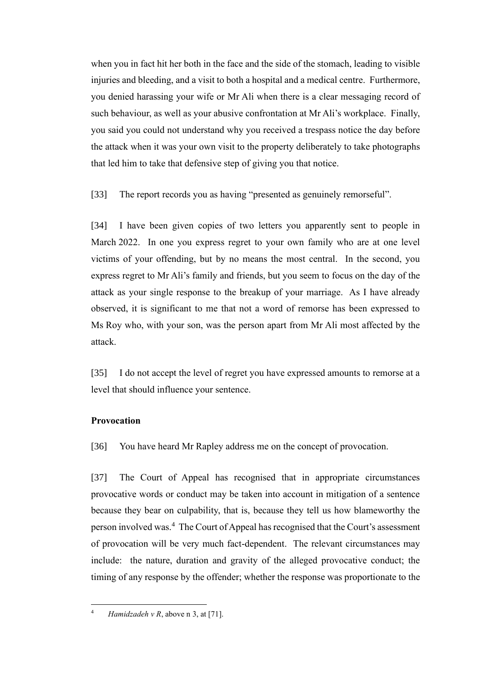when you in fact hit her both in the face and the side of the stomach, leading to visible injuries and bleeding, and a visit to both a hospital and a medical centre. Furthermore, you denied harassing your wife or Mr Ali when there is a clear messaging record of such behaviour, as well as your abusive confrontation at Mr Ali's workplace. Finally, you said you could not understand why you received a trespass notice the day before the attack when it was your own visit to the property deliberately to take photographs that led him to take that defensive step of giving you that notice.

[33] The report records you as having "presented as genuinely remorseful".

[34] I have been given copies of two letters you apparently sent to people in March 2022. In one you express regret to your own family who are at one level victims of your offending, but by no means the most central. In the second, you express regret to Mr Ali's family and friends, but you seem to focus on the day of the attack as your single response to the breakup of your marriage. As I have already observed, it is significant to me that not a word of remorse has been expressed to Ms Roy who, with your son, was the person apart from Mr Ali most affected by the attack.

[35] I do not accept the level of regret you have expressed amounts to remorse at a level that should influence your sentence.

### **Provocation**

[36] You have heard Mr Rapley address me on the concept of provocation.

[37] The Court of Appeal has recognised that in appropriate circumstances provocative words or conduct may be taken into account in mitigation of a sentence because they bear on culpability, that is, because they tell us how blameworthy the person involved was.<sup>4</sup> The Court of Appeal has recognised that the Court's assessment of provocation will be very much fact-dependent. The relevant circumstances may include: the nature, duration and gravity of the alleged provocative conduct; the timing of any response by the offender; whether the response was proportionate to the

<sup>4</sup> *Hamidzadeh v R*, above [n 3,](#page-6-0) at [71].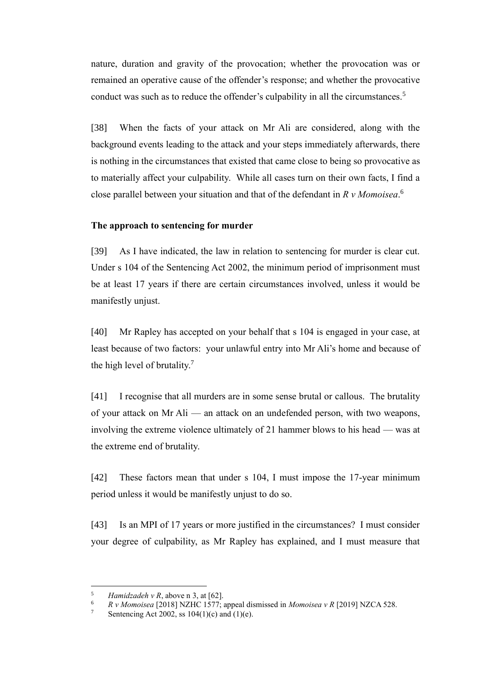nature, duration and gravity of the provocation; whether the provocation was or remained an operative cause of the offender's response; and whether the provocative conduct was such as to reduce the offender's culpability in all the circumstances.<sup>5</sup>

[38] When the facts of your attack on Mr Ali are considered, along with the background events leading to the attack and your steps immediately afterwards, there is nothing in the circumstances that existed that came close to being so provocative as to materially affect your culpability. While all cases turn on their own facts, I find a close parallel between your situation and that of the defendant in *R v Momoisea*. 6

#### **The approach to sentencing for murder**

[39] As I have indicated, the law in relation to sentencing for murder is clear cut. Under s 104 of the Sentencing Act 2002, the minimum period of imprisonment must be at least 17 years if there are certain circumstances involved, unless it would be manifestly unjust.

[40] Mr Rapley has accepted on your behalf that s 104 is engaged in your case, at least because of two factors: your unlawful entry into Mr Ali's home and because of the high level of brutality.<sup>7</sup>

[41] I recognise that all murders are in some sense brutal or callous. The brutality of your attack on Mr Ali — an attack on an undefended person, with two weapons, involving the extreme violence ultimately of 21 hammer blows to his head — was at the extreme end of brutality.

[42] These factors mean that under s 104, I must impose the 17-year minimum period unless it would be manifestly unjust to do so.

[43] Is an MPI of 17 years or more justified in the circumstances? I must consider your degree of culpability, as Mr Rapley has explained, and I must measure that

<sup>&</sup>lt;sup>5</sup> *Hamidzadeh v R*, above [n 3,](#page-6-0) at [62].<br><sup>6</sup> *R v Momoisea* [2018] NZHC 1577.

<sup>&</sup>lt;sup>6</sup> *R v Momoisea* [2018] NZHC 1577; appeal dismissed in *Momoisea v R* [2019] NZCA 528.

Sentencing Act 2002, ss  $104(1)(c)$  and  $(1)(e)$ .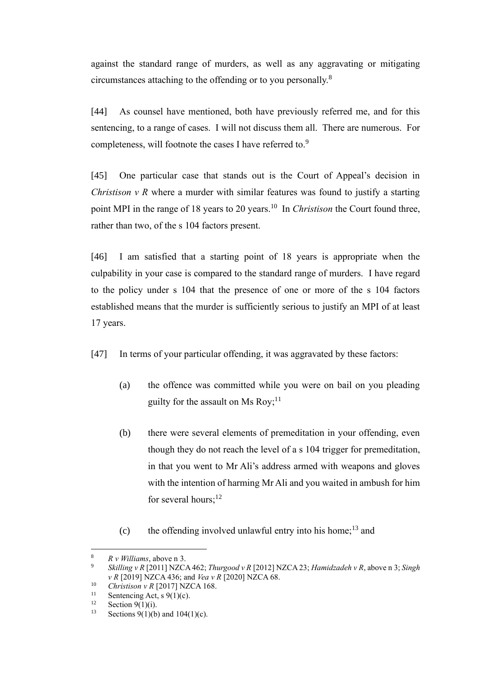against the standard range of murders, as well as any aggravating or mitigating circumstances attaching to the offending or to you personally.<sup>8</sup>

[44] As counsel have mentioned, both have previously referred me, and for this sentencing, to a range of cases. I will not discuss them all. There are numerous. For completeness, will footnote the cases I have referred to.<sup>9</sup>

[45] One particular case that stands out is the Court of Appeal's decision in *Christison v R* where a murder with similar features was found to justify a starting point MPI in the range of 18 years to 20 years.<sup>10</sup> In *Christison* the Court found three, rather than two, of the s 104 factors present.

[46] I am satisfied that a starting point of 18 years is appropriate when the culpability in your case is compared to the standard range of murders. I have regard to the policy under s 104 that the presence of one or more of the s 104 factors established means that the murder is sufficiently serious to justify an MPI of at least 17 years.

- [47] In terms of your particular offending, it was aggravated by these factors:
	- (a) the offence was committed while you were on bail on you pleading guilty for the assault on Ms Roy; $^{11}$
	- (b) there were several elements of premeditation in your offending, even though they do not reach the level of a s 104 trigger for premeditation, in that you went to Mr Ali's address armed with weapons and gloves with the intention of harming Mr Ali and you waited in ambush for him for several hours; $^{12}$
	- (c) the offending involved unlawful entry into his home;<sup>13</sup> and

 $R \text{ } v \text{ } Willians, above \text{ in } 3.$  $R \text{ } v \text{ } Willians, above \text{ in } 3.$ 

<sup>9</sup> *Skilling v R* [2011] NZCA 462; *Thurgood v R* [2012] NZCA 23; *Hamidzadeh v R*, above [n 3;](#page-6-0) *Singh v R* [2019] NZCA 436; and *Vea v R* [2020] NZCA 68.

<sup>&</sup>lt;sup>10</sup> *Christison v R* [2017] NZCA 168.

<sup>&</sup>lt;sup>11</sup> Sentencing Act, s 9(1)(c).<br><sup>12</sup> Section 9(1)(i).

<sup>&</sup>lt;sup>12</sup> Section 9(1)(i).<br><sup>13</sup> Sections 9(1)(b)

Sections 9(1)(b) and  $104(1)(c)$ .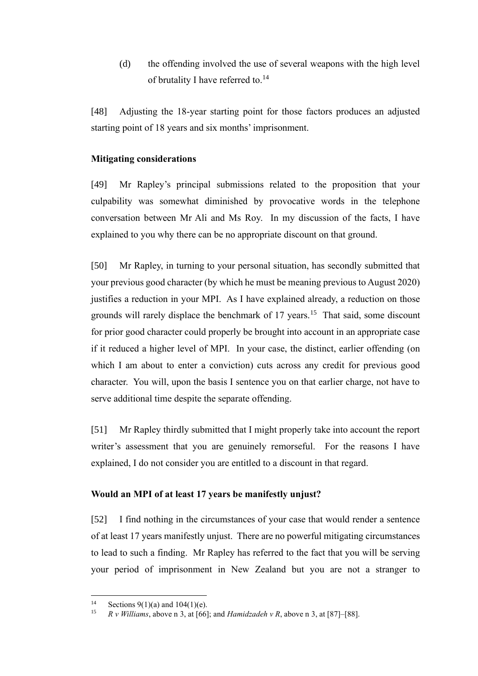(d) the offending involved the use of several weapons with the high level of brutality I have referred to.<sup>14</sup>

[48] Adjusting the 18-year starting point for those factors produces an adjusted starting point of 18 years and six months' imprisonment.

### **Mitigating considerations**

[49] Mr Rapley's principal submissions related to the proposition that your culpability was somewhat diminished by provocative words in the telephone conversation between Mr Ali and Ms Roy. In my discussion of the facts, I have explained to you why there can be no appropriate discount on that ground.

[50] Mr Rapley, in turning to your personal situation, has secondly submitted that your previous good character (by which he must be meaning previous to August 2020) justifies a reduction in your MPI. As I have explained already, a reduction on those grounds will rarely displace the benchmark of 17 years.<sup>15</sup> That said, some discount for prior good character could properly be brought into account in an appropriate case if it reduced a higher level of MPI. In your case, the distinct, earlier offending (on which I am about to enter a conviction) cuts across any credit for previous good character. You will, upon the basis I sentence you on that earlier charge, not have to serve additional time despite the separate offending.

[51] Mr Rapley thirdly submitted that I might properly take into account the report writer's assessment that you are genuinely remorseful. For the reasons I have explained, I do not consider you are entitled to a discount in that regard.

# **Would an MPI of at least 17 years be manifestly unjust?**

[52] I find nothing in the circumstances of your case that would render a sentence of at least 17 years manifestly unjust. There are no powerful mitigating circumstances to lead to such a finding. Mr Rapley has referred to the fact that you will be serving your period of imprisonment in New Zealand but you are not a stranger to

<sup>&</sup>lt;sup>14</sup> Sections 9(1)(a) and 104(1)(e).<br><sup>15</sup> P. *Williams*, above n <sup>2</sup> at [66]

 $R \text{ } v$  *Williams*, above n [3,](#page-6-0) at [66]; and *Hamidzadeh*  $v$  *R*, above [n 3,](#page-6-0) at [87]–[88].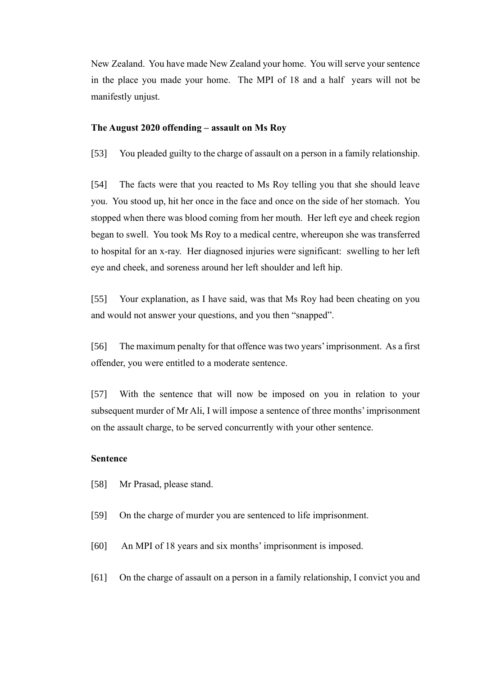New Zealand. You have made New Zealand your home. You will serve your sentence in the place you made your home. The MPI of 18 and a half years will not be manifestly unjust.

#### **The August 2020 offending – assault on Ms Roy**

[53] You pleaded guilty to the charge of assault on a person in a family relationship.

[54] The facts were that you reacted to Ms Roy telling you that she should leave you. You stood up, hit her once in the face and once on the side of her stomach. You stopped when there was blood coming from her mouth. Her left eye and cheek region began to swell. You took Ms Roy to a medical centre, whereupon she was transferred to hospital for an x-ray. Her diagnosed injuries were significant: swelling to her left eye and cheek, and soreness around her left shoulder and left hip.

[55] Your explanation, as I have said, was that Ms Roy had been cheating on you and would not answer your questions, and you then "snapped".

[56] The maximum penalty for that offence was two years' imprisonment. As a first offender, you were entitled to a moderate sentence.

[57] With the sentence that will now be imposed on you in relation to your subsequent murder of Mr Ali, I will impose a sentence of three months' imprisonment on the assault charge, to be served concurrently with your other sentence.

#### **Sentence**

- [58] Mr Prasad, please stand.
- [59] On the charge of murder you are sentenced to life imprisonment.
- [60] An MPI of 18 years and six months' imprisonment is imposed.
- [61] On the charge of assault on a person in a family relationship, I convict you and